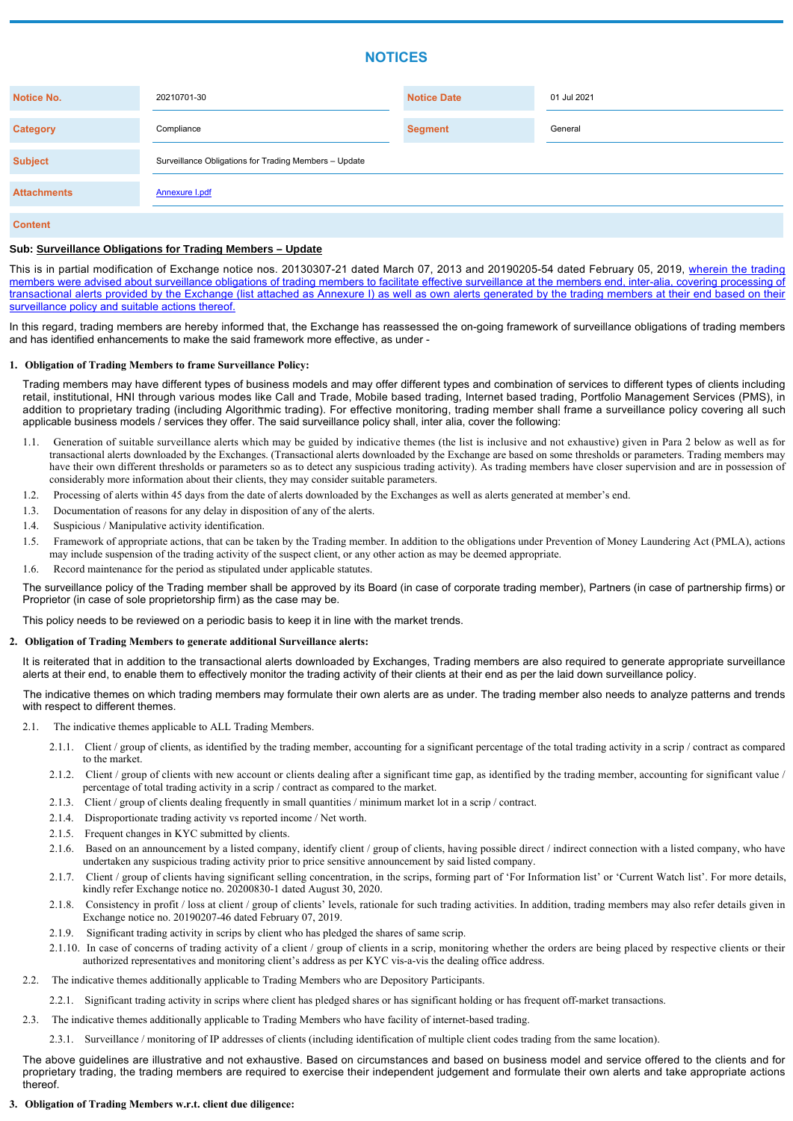# **NOTICES**

| <b>Notice No.</b>  | 20210701-30                                           | <b>Notice Date</b> | 01 Jul 2021 |
|--------------------|-------------------------------------------------------|--------------------|-------------|
| <b>Category</b>    | Compliance                                            | <b>Segment</b>     | General     |
| <b>Subject</b>     | Surveillance Obligations for Trading Members - Update |                    |             |
| <b>Attachments</b> | <b>Annexure I.pdf</b>                                 |                    |             |
| <b>Content</b>     |                                                       |                    |             |

# **Sub: Surveillance Obligations for Trading Members – Update**

This is in partial modification of Exchange notice nos. 20130307-21 dated March 07, 2013 and 20190205-54 dated February 05, 2019, wherein the trading members were advised about surveillance obligations of trading members to facilitate effective surveillance at the members end, inter-alia, covering processing of transactional alerts provided by the Exchange (list attached as Annexure I) as well as own alerts generated by the trading members at their end based on their surveillance policy and suitable actions thereof.

In this regard, trading members are hereby informed that, the Exchange has reassessed the on-going framework of surveillance obligations of trading members and has identified enhancements to make the said framework more effective, as under -

# **1. Obligation of Trading Members to frame Surveillance Policy:**

Trading members may have different types of business models and may offer different types and combination of services to different types of clients including retail, institutional, HNI through various modes like Call and Trade, Mobile based trading, Internet based trading, Portfolio Management Services (PMS), in addition to proprietary trading (including Algorithmic trading). For effective monitoring, trading member shall frame a surveillance policy covering all such applicable business models / services they offer. The said surveillance policy shall, inter alia, cover the following:

- 1.1. Generation of suitable surveillance alerts which may be guided by indicative themes (the list is inclusive and not exhaustive) given in Para 2 below as well as for transactional alerts downloaded by the Exchanges. (Transactional alerts downloaded by the Exchange are based on some thresholds or parameters. Trading members may have their own different thresholds or parameters so as to detect any suspicious trading activity). As trading members have closer supervision and are in possession of considerably more information about their clients, they may consider suitable parameters.
- 1.2. Processing of alerts within 45 days from the date of alerts downloaded by the Exchanges as well as alerts generated at member's end.
- 1.3. Documentation of reasons for any delay in disposition of any of the alerts.
- 1.4. Suspicious / Manipulative activity identification.
- 1.5. Framework of appropriate actions, that can be taken by the Trading member. In addition to the obligations under Prevention of Money Laundering Act (PMLA), actions may include suspension of the trading activity of the suspect client, or any other action as may be deemed appropriate.
- 1.6. Record maintenance for the period as stipulated under applicable statutes.

It is reiterated that in addition to the transactional alerts downloaded by Exchanges, Trading members are also required to generate appropriate surveillance alerts at their end, to enable them to effectively monitor the trading activity of their clients at their end as per the laid down surveillance policy.

The surveillance policy of the Trading member shall be approved by its Board (in case of corporate trading member), Partners (in case of partnership firms) or Proprietor (in case of sole proprietorship firm) as the case may be.

This policy needs to be reviewed on a periodic basis to keep it in line with the market trends.

# **2. Obligation of Trading Members to generate additional Surveillance alerts:**

The indicative themes on which trading members may formulate their own alerts are as under. The trading member also needs to analyze patterns and trends with respect to different themes.

- 2.1. The indicative themes applicable to ALL Trading Members.
	- 2.1.1. Client / group of clients, as identified by the trading member, accounting for a significant percentage of the total trading activity in a scrip / contract as compared to the market.
	- 2.1.2. Client / group of clients with new account or clients dealing after a significant time gap, as identified by the trading member, accounting for significant value / percentage of total trading activity in a scrip / contract as compared to the market.
	- 2.1.3. Client / group of clients dealing frequently in small quantities / minimum market lot in a scrip / contract.
	- 2.1.4. Disproportionate trading activity vs reported income / Net worth.
	- 2.1.5. Frequent changes in KYC submitted by clients.
	-
	- Based on an announcement by a listed company, identify client / group of clients, having possible direct / indirect connection with a listed company, who have undertaken any suspicious trading activity prior to price sensitive announcement by said listed company.
	- 2.1.7. Client / group of clients having significant selling concentration, in the scrips, forming part of 'For Information list' or 'Current Watch list'. For more details, kindly refer Exchange notice no. 20200830-1 dated August 30, 2020.
	- 2.1.8. Consistency in profit / loss at client / group of clients' levels, rationale for such trading activities. In addition, trading members may also refer details given in Exchange notice no. 20190207-46 dated February 07, 2019.
	- 2.1.9. Significant trading activity in scrips by client who has pledged the shares of same scrip.
	- 2.1.10. In case of concerns of trading activity of a client / group of clients in a scrip, monitoring whether the orders are being placed by respective clients or their authorized representatives and monitoring client's address as per KYC vis-a-vis the dealing office address.
- 2.2. The indicative themes additionally applicable to Trading Members who are Depository Participants.
	- 2.2.1. Significant trading activity in scrips where client has pledged shares or has significant holding or has frequent off-market transactions.
- 2.3. The indicative themes additionally applicable to Trading Members who have facility of internet-based trading.
	- 2.3.1. Surveillance / monitoring of IP addresses of clients (including identification of multiple client codes trading from the same location).

The above guidelines are illustrative and not exhaustive. Based on circumstances and based on business model and service offered to the clients and for proprietary trading, the trading members are required to exercise their independent judgement and formulate their own alerts and take appropriate actions thereof.

**3. Obligation of Trading Members w.r.t. client due diligence:**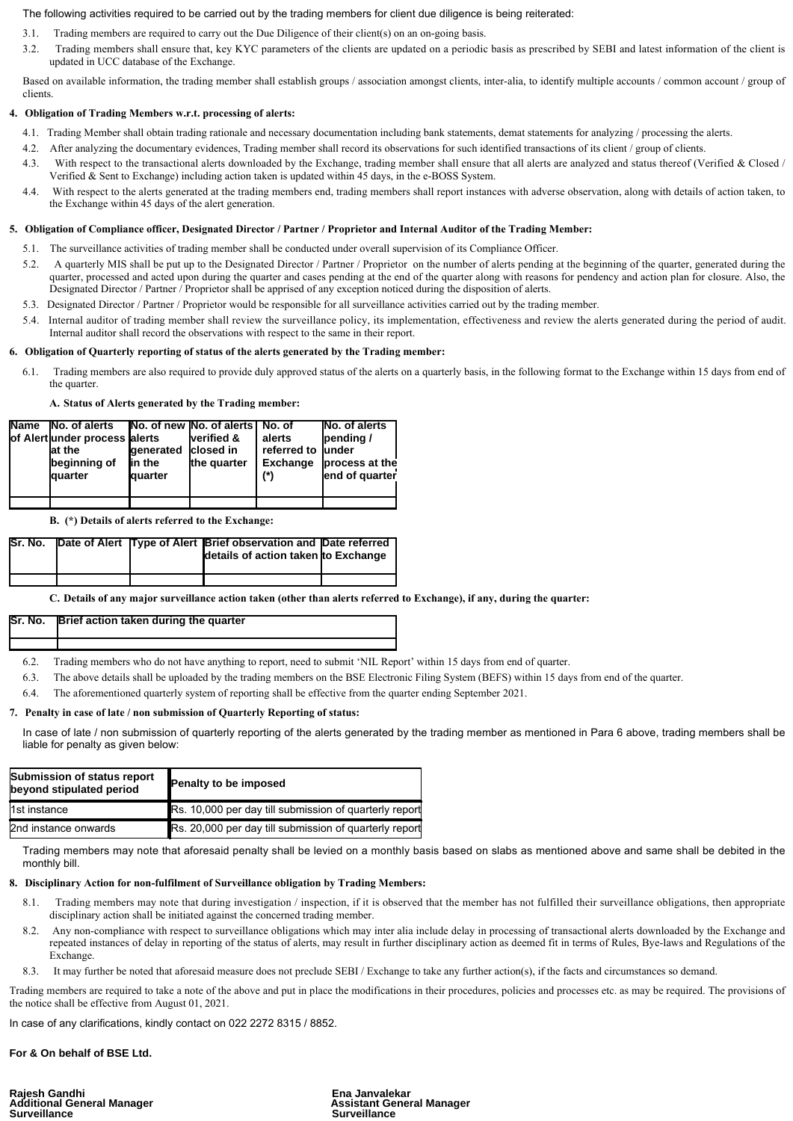# The following activities required to be carried out by the trading members for client due diligence is being reiterated:

- 3.1. Trading members are required to carry out the Due Diligence of their client(s) on an on-going basis.
- 3.2. Trading members shall ensure that, key KYC parameters of the clients are updated on a periodic basis as prescribed by SEBI and latest information of the client is updated in UCC database of the Exchange.

Based on available information, the trading member shall establish groups / association amongst clients, inter-alia, to identify multiple accounts / common account / group of clients.

# **4. Obligation of Trading Members w.r.t. processing of alerts:**

- 4.1. Trading Member shall obtain trading rationale and necessary documentation including bank statements, demat statements for analyzing / processing the alerts.
- 4.2. After analyzing the documentary evidences, Trading member shall record its observations for such identified transactions of its client / group of clients.
- 4.3. With respect to the transactional alerts downloaded by the Exchange, trading member shall ensure that all alerts are analyzed and status thereof (Verified & Closed / Verified & Sent to Exchange) including action taken is updated within 45 days, in the e-BOSS System.
- 4.4. With respect to the alerts generated at the trading members end, trading members shall report instances with adverse observation, along with details of action taken, to the Exchange within 45 days of the alert generation.

### **5. Obligation of Compliance officer, Designated Director / Partner / Proprietor and Internal Auditor of the Trading Member:**

In case of late / non submission of quarterly reporting of the alerts generated by the trading member as mentioned in Para 6 above, trading members shall be liable for penalty as given below:

- 5.1. The surveillance activities of trading member shall be conducted under overall supervision of its Compliance Officer.
- 5.2. A quarterly MIS shall be put up to the Designated Director / Partner / Proprietor on the number of alerts pending at the beginning of the quarter, generated during the quarter, processed and acted upon during the quarter and cases pending at the end of the quarter along with reasons for pendency and action plan for closure. Also, the Designated Director / Partner / Proprietor shall be apprised of any exception noticed during the disposition of alerts.
- 5.3. Designated Director / Partner / Proprietor would be responsible for all surveillance activities carried out by the trading member.
- 5.4. Internal auditor of trading member shall review the surveillance policy, its implementation, effectiveness and review the alerts generated during the period of audit. Internal auditor shall record the observations with respect to the same in their report.

- **8. Disciplinary Action for non-fulfilment of Surveillance obligation by Trading Members:**
	- 8.1. Trading members may note that during investigation / inspection, if it is observed that the member has not fulfilled their surveillance obligations, then appropriate disciplinary action shall be initiated against the concerned trading member.
	- 8.2. Any non-compliance with respect to surveillance obligations which may inter alia include delay in processing of transactional alerts downloaded by the Exchange and repeated instances of delay in reporting of the status of alerts, may result in further disciplinary action as deemed fit in terms of Rules, Bye-laws and Regulations of the Exchange.
	- 8.3. It may further be noted that aforesaid measure does not preclude SEBI / Exchange to take any further action(s), if the facts and circumstances so demand.

### **6. Obligation of Quarterly reporting of status of the alerts generated by the Trading member:**

6.1. Trading members are also required to provide duly approved status of the alerts on a quarterly basis, in the following format to the Exchange within 15 days from end of the quarter.

**A. Status of Alerts generated by the Trading member:**

Rajesh Gandhi<br>Additional General Manager Assistant General Manager **Additional General Manager Surveillance Surveillance**

| <b>Name</b> | <b>No. of alerts</b>          |                | No. of new No. of alerts No. of |                 | No. of alerts  |
|-------------|-------------------------------|----------------|---------------------------------|-----------------|----------------|
|             | of Alert under process alerts |                | verified &                      | alerts          | pending/       |
|             | at the                        | generated      | closed in                       | referred to     | lunder         |
|             | beginning of                  | in the         | the quarter                     | <b>Exchange</b> | process at the |
|             | <b>J</b> quarter              | <b>quarter</b> |                                 | (*)             | end of quarter |
|             |                               |                |                                 |                 |                |
|             |                               |                |                                 |                 |                |

**B. (\*) Details of alerts referred to the Exchange:**

| lSr. No. |  | Date of Alert Type of Alert Brief observation and Date referred<br>details of action taken to Exchange |  |
|----------|--|--------------------------------------------------------------------------------------------------------|--|
|          |  |                                                                                                        |  |

**C. Details of any major surveillance action taken (other than alerts referred to Exchange), if any, during the quarter:**

| Sr. No. <b>Brief action taken during the quarter</b> |
|------------------------------------------------------|
|                                                      |

6.2. Trading members who do not have anything to report, need to submit 'NIL Report' within 15 days from end of quarter.

6.3. The above details shall be uploaded by the trading members on the BSE Electronic Filing System (BEFS) within 15 days from end of the quarter.

6.4. The aforementioned quarterly system of reporting shall be effective from the quarter ending September 2021.

# **7. Penalty in case of late / non submission of Quarterly Reporting of status:**

| Submission of status report<br>beyond stipulated period | <b>Penalty to be imposed</b>                                  |  |  |
|---------------------------------------------------------|---------------------------------------------------------------|--|--|
| 1st instance                                            | <b>Rs. 10,000 per day till submission of quarterly report</b> |  |  |
| 2nd instance onwards                                    | <b>Rs.</b> 20,000 per day till submission of quarterly report |  |  |

Trading members may note that aforesaid penalty shall be levied on a monthly basis based on slabs as mentioned above and same shall be debited in the monthly bill.

Trading members are required to take a note of the above and put in place the modifications in their procedures, policies and processes etc. as may be required. The provisions of the notice shall be effective from August 01, 2021.

In case of any clarifications, kindly contact on 022 2272 8315 / 8852.

**For & On behalf of BSE Ltd.**